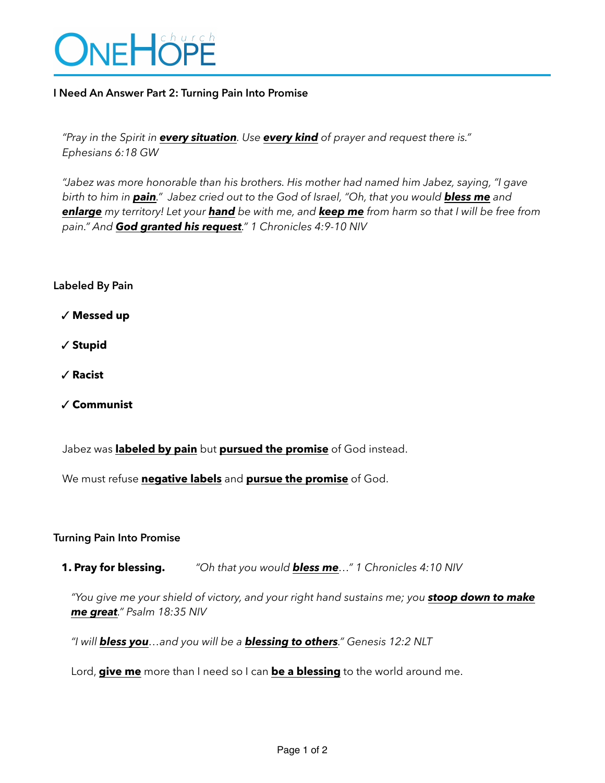

## **I Need An Answer Part 2: Turning Pain Into Promise**

*"Pray in the Spirit in every situation. Use every kind of prayer and request there is." Ephesians 6:18 GW*

*"Jabez was more honorable than his brothers. His mother had named him Jabez, saying, "I gave birth to him in pain." Jabez cried out to the God of Israel, "Oh, that you would bless me and enlarge my territory! Let your hand be with me, and keep me from harm so that I will be free from pain." And God granted his request." 1 Chronicles 4:9-10 NIV*

## **Labeled By Pain**

✓ **Messed up**

✓ **Stupid**

- ✓ **Racist**
- ✓ **Communist**

Jabez was **labeled by pain** but **pursued the promise** of God instead.

We must refuse **negative labels** and **pursue the promise** of God.

## **Turning Pain Into Promise**

**1. Pray for blessing.** *"Oh that you would bless me…" 1 Chronicles 4:10 NIV*

*"You give me your shield of victory, and your right hand sustains me; you stoop down to make me great." Psalm 18:35 NIV*

*"I will bless you…and you will be a blessing to others." Genesis 12:2 NLT*

Lord, **give me** more than I need so I can **be a blessing** to the world around me.